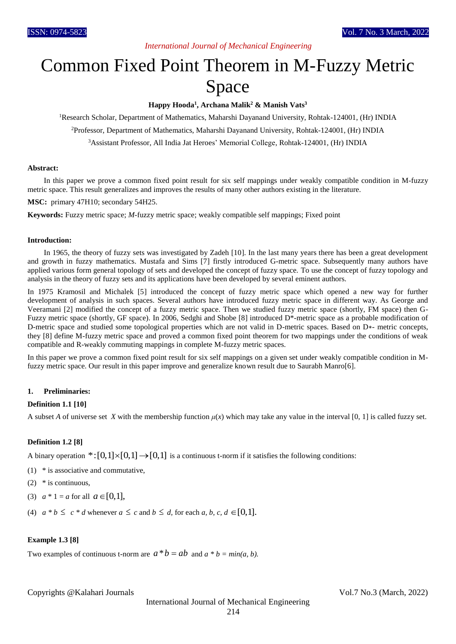# *International Journal of Mechanical Engineering*

# Common Fixed Point Theorem in M-Fuzzy Metric Space

**Happy Hooda<sup>1</sup> , Archana Malik<sup>2</sup> & Manish Vats<sup>3</sup>**

<sup>1</sup>Research Scholar, Department of Mathematics, Maharshi Dayanand University, Rohtak-124001, (Hr) INDIA

<sup>2</sup>Professor, Department of Mathematics, Maharshi Dayanand University, Rohtak-124001, (Hr) INDIA

<sup>3</sup>Assistant Professor, All India Jat Heroes' Memorial College, Rohtak-124001, (Hr) INDIA

#### **Abstract:**

In this paper we prove a common fixed point result for six self mappings under weakly compatible condition in M-fuzzy metric space. This result generalizes and improves the results of many other authors existing in the literature.

**MSC:** primary 47H10; secondary 54H25.

**Keywords:** Fuzzy metric space; *M*-fuzzy metric space; weakly compatible self mappings; Fixed point

#### **Introduction:**

In 1965, the theory of fuzzy sets was investigated by Zadeh [10]. In the last many years there has been a great development and growth in fuzzy mathematics. Mustafa and Sims [7] firstly introduced G-metric space. Subsequently many authors have applied various form general topology of sets and developed the concept of fuzzy space. To use the concept of fuzzy topology and analysis in the theory of fuzzy sets and its applications have been developed by several eminent authors.

In 1975 Kramosil and Michalek [5] introduced the concept of fuzzy metric space which opened a new way for further development of analysis in such spaces. Several authors have introduced fuzzy metric space in different way. As George and Veeramani [2] modified the concept of a fuzzy metric space. Then we studied fuzzy metric space (shortly, FM space) then G-Fuzzy metric space (shortly, GF space). In 2006, Sedghi and Shobe [8] introduced D\*-metric space as a probable modification of D-metric space and studied some topological properties which are not valid in D-metric spaces. Based on D∗- metric concepts, they [8] define M-fuzzy metric space and proved a common fixed point theorem for two mappings under the conditions of weak compatible and R-weakly commuting mappings in complete M-fuzzy metric spaces.

In this paper we prove a common fixed point result for six self mappings on a given set under weakly compatible condition in Mfuzzy metric space. Our result in this paper improve and generalize known result due to Saurabh Manro[6].

### **1. Preliminaries:**

#### **Definition 1.1 [10]**

A subset *A* of universe set *X* with the membership function  $\mu(x)$  which may take any value in the interval [0, 1] is called fuzzy set.

#### **Definition 1.2 [8]**

A binary operation  $\ast$ :  $[0,1] \times [0,1] \rightarrow [0,1]$  is a continuous t-norm if it satisfies the following conditions:

- (1) \* is associative and commutative,
- (2) \* is continuous,
- (3)  $a * 1 = a$  for all  $a \in [0,1]$ ,
- (4)  $a * b \leq c * d$  whenever  $a \leq c$  and  $b \leq d$ , for each  $a, b, c, d \in [0,1]$ .

#### **Example 1.3 [8]**

Two examples of continuous t-norm are  $a * b = ab$  and  $a * b = min(a, b)$ .

Copyrights @Kalahari Journals Vol.7 No.3 (March, 2022)

International Journal of Mechanical Engineering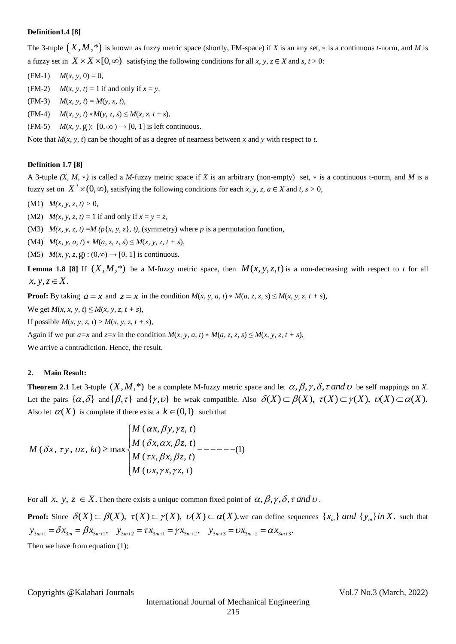### **Definition1.4 [8]**

The 3-tuple  $(X, M, *)$  is known as fuzzy metric space (shortly, FM-space) if *X* is an any set,  $*$  is a continuous *t*-norm, and *M* is a fuzzy set in  $X \times X \times [0, \infty)$  satisfying the following conditions for all *x*, *y*, *z*  $\in$  *X* and *s*, *t* > 0:

- $(M-1)$  *M*(*x*, *y*, 0) = 0,
- (FM-2)  $M(x, y, t) = 1$  if and only if  $x = y$ ,
- (FM-3)  $M(x, y, t) = M(y, x, t),$
- $M(x, y, t) * M(y, z, s) \leq M(x, z, t + s),$
- (FM-5)  $M(x, y, g)$ :  $[0, \infty) \rightarrow [0, 1]$  is left continuous.

Note that *M*(*x*, *y*, *t*) can be thought of as a degree of nearness between *x* and *y* with respect to *t*.

# **Definition 1.7 [8]**

A 3-tuple *(X, M,* ∗*)* is called a *M*-fuzzy metric space if *X* is an arbitrary (non-empty) set, ∗ is a continuous t-norm, and *M* is a fuzzy set on  $X^3 \times (0, \infty)$ , satisfying the following conditions for each *x*, *y*, *z*, *a* ∈ *X* and *t*, *s* > 0,

(M1)  $M(x, y, z, t) > 0$ ,

(M2)  $M(x, y, z, t) = 1$  if and only if  $x = y = z$ ,

(M3)  $M(x, y, z, t) = M (p\{x, y, z\}, t)$ , (symmetry) where *p* is a permutation function,

(M4)  $M(x, y, a, t) * M(a, z, z, s) \leq M(x, y, z, t + s),$ 

(M5)  $M(x, y, z, g) : (0, \infty) \rightarrow [0, 1]$  is continuous.

**Lemma 1.8** [8] If  $(X, M, *)$  be a M-fuzzy metric space, then  $M(x, y, z, t)$  is a non-decreasing with respect to *t* for all  $x, y, z \in X$ .

**Proof:** By taking  $a = x$  and  $z = x$  in the condition  $M(x, y, a, t) * M(a, z, z, s) \le M(x, y, z, t + s)$ ,

We get  $M(x, x, y, t) \le M(x, y, z, t + s)$ ,

If possible  $M(x, y, z, t) > M(x, y, z, t + s)$ ,

Again if we put  $a=x$  and  $z=x$  in the condition  $M(x, y, a, t) * M(a, z, z, s) \le M(x, y, z, t + s)$ ,

We arrive a contradiction. Hence, the result.

#### **2. Main Result:**

**Theorem 2.1** Let 3-tuple  $(X, M, *)$  be a complete M-fuzzy metric space and let  $\alpha, \beta, \gamma, \delta, \tau$  and  $\upsilon$  be self mappings on X. **Theorem 2.1** Let 3-tuple  $(X, M, *)$  be a complete M-fuzzy metric space and let  $\alpha, \beta, \gamma, \delta, \tau$  and  $U$  be self mappings on X.<br>Let the pairs  $\{\alpha, \delta\}$  and  $\{\beta, \tau\}$  and  $\{\gamma, \upsilon\}$  be weak compatible. Also  $\delta(X) \subset \beta(X)$ , Also let  $\alpha(X)$  is complete if there exist a  $k \in (0,1)$  such that re exist a  $k \in (0,1)$  such<br> *M*  $(\alpha x, \beta y, \gamma z, t)$ 

$$
M(\delta x, \tau y, \upsilon z, kt) \ge \max \begin{cases} M(\alpha x, \beta y, \gamma z, t) \\ M(\delta x, \alpha x, \beta z, t) \\ M(\tau x, \beta x, \beta z, t) \\ M(\upsilon x, \gamma x, \gamma z, t) \end{cases} \tag{1}
$$

For all *x*, *y*, *z*  $\in X$ . Then there exists a unique common fixed point of  $\alpha$ ,  $\beta$ ,  $\gamma$ ,  $\delta$ ,  $\tau$  and  $\upsilon$ .<br> **Proof:** Since  $\delta(X) \subset \beta(X)$ ,  $\tau(X) \subset \gamma(X)$ ,  $\upsilon(X) \subset \alpha(X)$ , we can define sequences<br>  $y_{3m+1} = \delta x_{3m} = \beta$ **Proof:** Since  $\delta(X) \subset \beta(X)$ ,  $\tau(X) \subset \gamma(X)$ ,  $\nu(X) \subset \alpha(X)$ , we can define sequences  $\{x_m\}$  and  $\{y_m\}$  in X. such that For all *x*, *y*, *z*  $\in$  *X*. Then there exists a unique common fixed point of  $\alpha$ ,  $\beta$ ,  $\gamma$ ,  $\delta$ ,  $\tau$  and <br>**Proof:** Since  $\delta(X) \subset \beta(X)$ ,  $\tau(X) \subset \gamma(X)$ ,  $\upsilon(X) \subset \alpha(X)$ , we can define sequenc  $y_{3m+1} = \delta x_{3m} = \beta x_{3m+1}$ Then we have from equation (1);

Copyrights @Kalahari Journals Vol.7 No.3 (March, 2022)

International Journal of Mechanical Engineering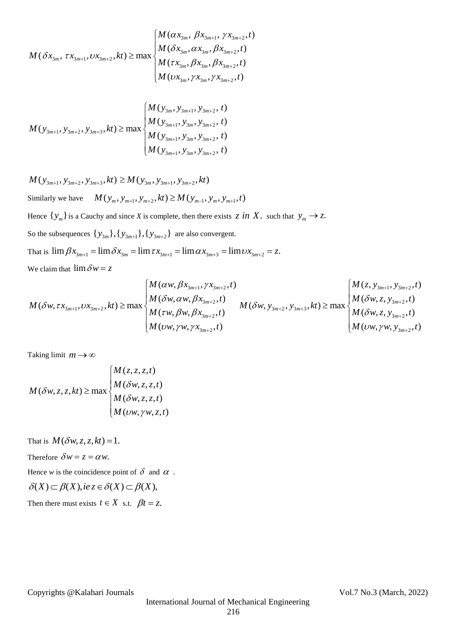$$
M(\delta x_{3m}, \tau x_{3m+1}, \upsilon x_{3m+2}, kt) \ge \max \begin{cases} M(\alpha x_{3m}, \beta x_{3m+1}, \gamma x_{3m+2}, t) \\ M(\delta x_{3m}, \alpha x_{3m}, \beta x_{3m+2}, t) \\ M(\tau x_{3m}, \beta x_{3m}, \beta x_{3m+2}, t) \\ M(\upsilon x_{3m}, \gamma x_{3m}, \gamma x_{3m+2}, t) \end{cases}
$$

$$
M(y_{3m+1}, y_{3m+2}, y_{3m+3}, kt) \ge \max\begin{cases} M(y_{3m}, y_{3m+1}, y_{3m+2}, t) \\ M(y_{3m+1}, y_{3m}, y_{3m+2}, t) \\ M(y_{3m+1}, y_{3m}, y_{3m+2}, t) \\ M(y_{3m+1}, y_{3m}, y_{3m+2}, t) \end{cases}
$$

$$
M(y_{3m+1}, y_{3m+2}, y_{3m+3}, kt) \ge M(y_{3m}, y_{3m+1}, y_{3m+2}, kt)
$$
  
Similarly we have 
$$
M(y_m, y_{m+1}, y_{m+2}, kt) \ge M(y_{m-1}, y_m, y_{m+1}, t)
$$

Hence  $\{y_m\}$  is a Cauchy and since *X* is complete, then there exists  $z$  in  $X$ . such that  $y_m \to z$ . So the subsequences  $\{y_{3m}\}, \{y_{3m+1}\}, \{y_{3m+2}\}\)$  are also convergent. So the subsequences  $\{y_{3m}\}, \{y_{3m+1}\}, \{y_{3m+2}\}\$  are also convergent.<br>That is  $\lim \beta x_{3m+1} = \lim \delta x_{3m} = \lim \tau x_{3m+1} = \lim \alpha x_{3m+3} = \lim \upsilon x_{3m+2} = z$ . We claim that  $\lim \delta w = z$  $\alpha w, \beta x_{3m+1}, \gamma x_{3m+2}, t)$ 

We claim that 
$$
\lim \delta w = z
$$
  
\n
$$
M(\delta w, \tau x_{3m+1}, \upsilon x_{3m+2}, kt) \ge \max \begin{cases} M(\alpha w, \beta x_{3m+1}, \gamma x_{3m+2}, t) \\ M(\delta w, \alpha w, \beta x_{3m+2}, t) \\ M(\tau w, \beta w, \beta x_{3m+2}, t) \end{cases} M(\delta w, y_{3m+2}, y_{3m+3}, kt) \ge \max \begin{cases} M(z, y_{3m+1}, y_{3m+2}, t) \\ M(\delta w, z, y_{3m+2}, t) \\ M(\delta w, z, y_{3m+2}, t) \\ M(\upsilon w, \gamma w, y_{3m+2}, t) \end{cases}
$$

Taking limit  $m \rightarrow \infty$ 

Taking limit 
$$
m \rightarrow \infty
$$
  
\n
$$
M(\delta w, z, z, kt) \ge \max \begin{cases} M(z, z, z, t) \\ M(\delta w, z, z, t) \\ M(\delta w, z, z, t) \\ M(w, y, w, z, t) \end{cases}
$$

That is  $M(\delta w, z, z, kt) = 1$ .

Therefore  $\delta w = z = \alpha w$ .

Hence w is the coincidence point of 
$$
\delta
$$
 and  $\alpha$ .  
\n $\delta(X) \subset \beta(X), i e z \in \delta(X) \subset \beta(X),$ 

Then there must exists  $t \in X$  s.t.  $\beta t = z$ .

Copyrights @Kalahari Journals Vol.7 No.3 (March, 2022)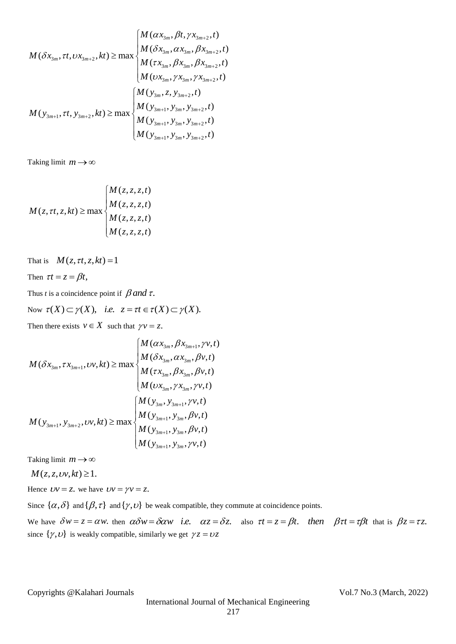$$
M(\delta x_{3m}, \tau t, \upsilon x_{3m+2}, kt) \ge \max \begin{cases} M(\alpha x_{3m}, \beta t, \gamma x_{3m+2}, t) \\ M(\delta x_{3m}, \alpha x_{3m}, \beta x_{3m+2}, t) \\ M(\tau x_{3m}, \beta x_{3m}, \beta x_{3m+2}, t) \\ M(\upsilon x_{3m}, \gamma x_{3m}, \gamma x_{3m+2}, t) \end{cases}
$$

$$
M(\gamma_{3m+1}, \tau t, \gamma_{3m+2}, kt) \ge \max \begin{cases} M(\gamma_{3m}, \zeta, \gamma_{3m+2}, t) \\ M(\gamma_{3m+1}, \gamma_{3m}, \gamma_{3m+2}, t) \\ M(\gamma_{3m+1}, \gamma_{3m}, \gamma_{3m+2}, t) \\ M(\gamma_{3m+1}, \gamma_{3m}, \gamma_{3m+2}, t) \end{cases}
$$

Taking limit  $m \rightarrow \infty$ 

$$
M(z, \tau t, z, kt) \ge \max \begin{cases} M(z, z, z, t) \\ M(z, z, z, t) \\ M(z, z, z, t) \\ M(z, z, z, t) \end{cases}
$$

That is  $M(z, \tau t, z, k t) = 1$ 

Then 
$$
\tau t = z = \beta t
$$
,

Thus *t* is a coincidence point if  $\beta$  and  $\tau$ .

Thus *t* is a coincidence point if  $\beta$  and  $\tau$ .<br>Now  $\tau(X) \subset \gamma(X)$ , *i.e.*  $z = \tau t \in \tau(X) \subset \gamma(X)$ .

Then there exists  $v \in X$  such that  $\gamma v = z$ .

Then there exists 
$$
v \in X
$$
 such that  $\gamma v = z$ .  
\n
$$
M(\delta x_{3m}, \tau x_{3m+1}, \upsilon v, kt) \ge \max \begin{cases} M(\alpha x_{3m}, \beta x_{3m+1}, \gamma v, t) \\ M(\delta x_{3m}, \alpha x_{3m}, \beta v, t) \\ M(\tau x_{3m}, \beta x_{3m}, \beta v, t) \\ M(\upsilon x_{3m}, \gamma x_{3m}, \gamma v, t) \end{cases}
$$
\n
$$
M(\upsilon x_{3m+1}, \upsilon y_{3m+2}, \upsilon v, kt) \ge \max \begin{cases} M(\upsilon_{3m}, \upsilon_{3m+1}, \gamma v, t) \\ M(\upsilon_{3m+1}, \upsilon_{3m}, \beta v, t) \\ M(\upsilon_{3m+1}, \upsilon_{3m}, \beta v, t) \\ M(\upsilon_{3m+1}, \upsilon_{3m}, \gamma v, t) \\ M(\upsilon_{3m+1}, \upsilon_{3m}, \gamma v, t) \end{cases}
$$

Taking limit  $m \rightarrow \infty$ 

$$
M(z, z, \nu v, kt) \ge 1.
$$

Hence  $Uv = z$ , we have  $Uv = \gamma v = z$ .

Since  $\{\alpha,\delta\}$  and  $\{\beta,\tau\}$  and  $\{\gamma,\nu\}$  be weak compatible, they commute at coincidence points.

We have  $\delta w = z = \alpha w$ , then  $\alpha \delta w = \delta \alpha w$  *i.e.*  $\alpha z = \delta z$ , also  $\tau t = z = \beta t$ , then  $\beta \tau t = \tau \beta t$  that is  $\beta z = \tau z$ . since  $\{\gamma, v\}$  is weakly compatible, similarly we get  $\gamma z = v z$ 

Copyrights @Kalahari Journals Vol.7 No.3 (March, 2022)

International Journal of Mechanical Engineering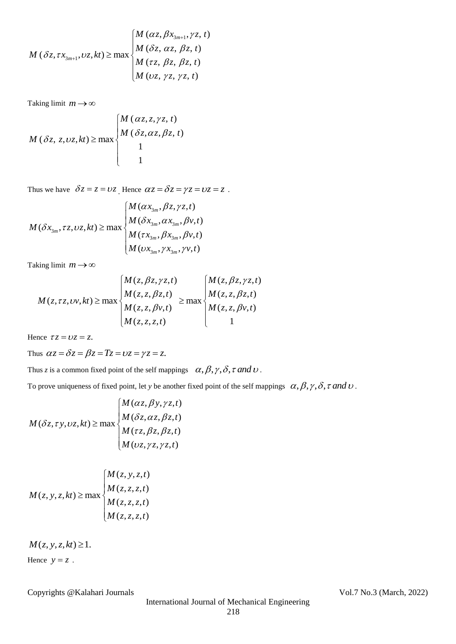$$
M\left(\delta z,\tau x_{3m+1},v z,kt\right) \geq \max \begin{cases} M\left(\alpha z,\beta x_{3m+1},\gamma z,t\right) \\ M\left(\delta z,\alpha z,\beta z,t\right) \\ M\left(\tau z,\beta z,\beta z,t\right) \\ M\left(v z,\gamma z,\gamma z,t\right) \end{cases}
$$

Taking limit  $m \rightarrow \infty$ 

Taking limit 
$$
m \to \infty
$$
  
\n
$$
M(\delta z, z, v z, kt) \ge \max \begin{cases} M(\alpha z, z, \gamma z, t) \\ M(\delta z, \alpha z, \beta z, t) \\ 1 \\ 1 \end{cases}
$$

Thus we have 
$$
\delta z = z = \nu z
$$
. Hence  $\alpha z = \delta z = \gamma z = \nu z = z$ .  
\n
$$
M(\delta x_{3m}, \tau z, \nu z, kt) \ge \max \begin{cases} M(\alpha x_{3m}, \beta z, \gamma z, t) \\ M(\delta x_{3m}, \alpha x_{3m}, \beta y, t) \\ M(\tau x_{3m}, \beta x_{3m}, \beta y, t) \\ M(\nu x_{3m}, \gamma x_{3m}, \gamma y, t) \end{cases}
$$

Taking limit  $m \rightarrow \infty$ 

$$
\text{diag limit } m \to \infty
$$
\n
$$
M(z, \tau z, \upsilon v, kt) \ge \max \begin{cases} M(z, \beta z, \gamma z, t) \\ M(z, z, \beta z, t) \\ M(z, z, \beta v, t) \end{cases} \ge \max \begin{cases} M(z, \beta z, \gamma z, t) \\ M(z, z, \beta z, t) \\ M(z, z, \beta v, t) \\ M(z, z, \beta v, t) \end{cases}
$$

Hence  $\tau z = \nu z = z$ .

Thus  $\alpha z = \delta z = \beta z = Tz = \nu z = \gamma z = z$ .

Thus *z* is a common fixed point of the self mappings  $\alpha, \beta, \gamma, \delta, \tau$  and  $\nu$ .

To prove uniqueness of fixed point, let *y* be another fixed point of the self mappings  $\alpha, \beta, \gamma, \delta, \tau$  and  $\upsilon$ .<br>  $\left(M(\alpha z, \beta y, \gamma z, t)\right)$ 

$$
M(\delta z, \tau y, v z, kt) \ge \max \begin{cases} M(\alpha z, \beta y, \gamma z, t) \\ M(\delta z, \alpha z, \beta z, t) \\ M(\tau z, \beta z, \beta z, t) \\ M(v z, \gamma z, \gamma z, t) \end{cases}
$$

$$
M(z, y, z, kt) \ge \max \begin{cases} M(z, y, z, t) \\ M(z, z, z, t) \\ M(z, z, z, t) \\ M(z, z, z, t) \end{cases}
$$

 $M(z, y, z, kt) \geq 1.$ Hence  $y = z$ .

Copyrights @Kalahari Journals Vol.7 No.3 (March, 2022)